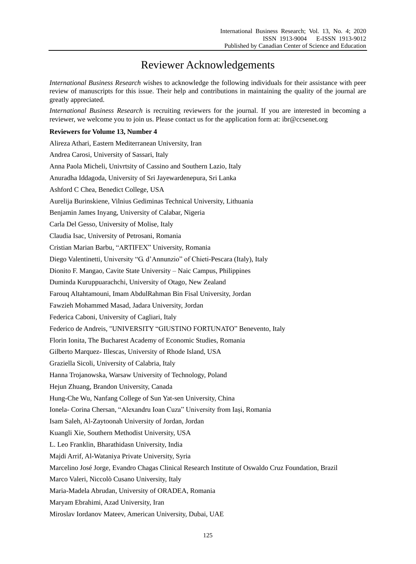## Reviewer Acknowledgements

*International Business Research* wishes to acknowledge the following individuals for their assistance with peer review of manuscripts for this issue. Their help and contributions in maintaining the quality of the journal are greatly appreciated.

*International Business Research* is recruiting reviewers for the journal. If you are interested in becoming a reviewer, we welcome you to join us. Please contact us for the application form at: ibr@ccsenet.org

## **Reviewers for Volume 13, Number 4**